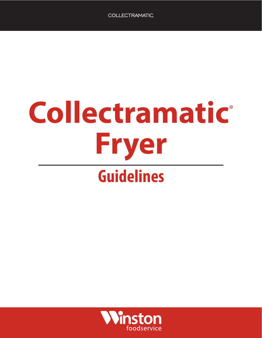## **Collectramatic**® **Fryer Guidelines**